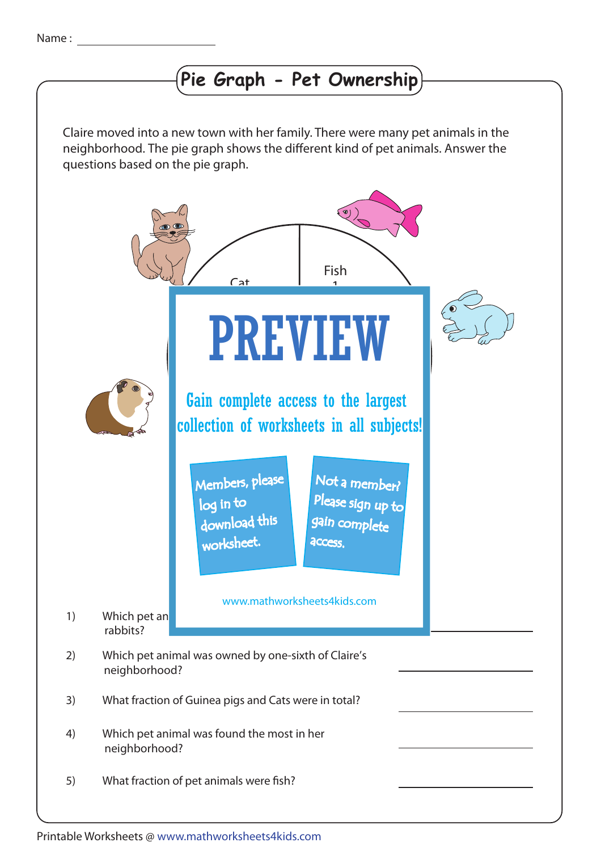## **Pie Graph - Pet Ownership**

Claire moved into a new town with her family. There were many pet animals in the neighborhood. The pie graph shows the different kind of pet animals. Answer the questions based on the pie graph.